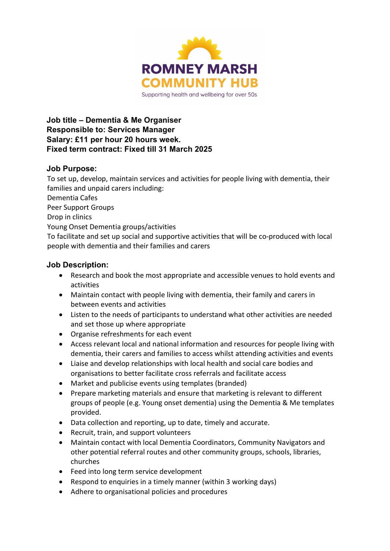

Job title – Dementia & Me Organiser Responsible to: Services Manager Salary: £11 per hour 20 hours week. Fixed term contract: Fixed till 31 March 2025

## Job Purpose:

To set up, develop, maintain services and activities for people living with dementia, their families and unpaid carers including: Dementia Cafes Peer Support Groups Drop in clinics Young Onset Dementia groups/activities To facilitate and set up social and supportive activities that will be co-produced with local people with dementia and their families and carers

## Job Description:

- Research and book the most appropriate and accessible venues to hold events and activities
- Maintain contact with people living with dementia, their family and carers in between events and activities
- Listen to the needs of participants to understand what other activities are needed and set those up where appropriate
- Organise refreshments for each event
- Access relevant local and national information and resources for people living with dementia, their carers and families to access whilst attending activities and events
- Liaise and develop relationships with local health and social care bodies and organisations to better facilitate cross referrals and facilitate access
- Market and publicise events using templates (branded)
- Prepare marketing materials and ensure that marketing is relevant to different groups of people (e.g. Young onset dementia) using the Dementia & Me templates provided.
- Data collection and reporting, up to date, timely and accurate.
- Recruit, train, and support volunteers
- Maintain contact with local Dementia Coordinators, Community Navigators and other potential referral routes and other community groups, schools, libraries, churches
- Feed into long term service development
- Respond to enquiries in a timely manner (within 3 working days)
- Adhere to organisational policies and procedures